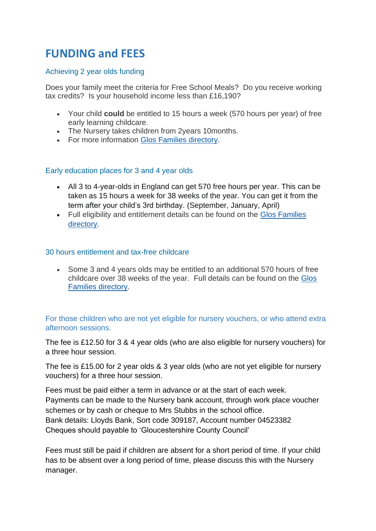# **FUNDING and FEES**

### Achieving 2 year olds funding

Does your family meet the criteria for Free School Meals? Do you receive working tax credits? Is your household income less than £16,190?

- Your child **could** be entitled to 15 hours a week (570 hours per year) of free early learning childcare.
- The Nursery takes children from 2years 10months.
- For more information [Glos Families directory.](https://www.glosfamiliesdirectory.org.uk/kb5/gloucs/glosfamilies/family.page?familychannel=1_2)

#### Early education places for 3 and 4 year olds

- All 3 to 4-year-olds in England can get 570 free hours per year. This can be taken as 15 hours a week for 38 weeks of the year. You can get it from the term after your child's 3rd birthday. (September, January, April)
- Full eligibility and entitlement details can be found on the Glos Families [directory.](http://www.glosfamiliesdirectory.org.uk/kb5/gloucs/glosfamilies/advice.page?id=mzsRkAa1re8)

#### 30 hours entitlement and tax-free childcare

• Some 3 and 4 years olds may be entitled to an additional 570 hours of free childcare over 38 weeks of the year. Full details can be found on the [Glos](http://www.glosfamiliesdirectory.org.uk/kb5/gloucs/glosfamilies/service.page?id=AY7h_uqZkEU)  [Families directory.](http://www.glosfamiliesdirectory.org.uk/kb5/gloucs/glosfamilies/service.page?id=AY7h_uqZkEU)

## For those children who are not yet eligible for nursery vouchers, or who attend extra afternoon sessions.

The fee is £12.50 for 3 & 4 year olds (who are also eligible for nursery vouchers) for a three hour session.

The fee is £15.00 for 2 year olds & 3 year olds (who are not yet eligible for nursery vouchers) for a three hour session.

Fees must be paid either a term in advance or at the start of each week. Payments can be made to the Nursery bank account, through work place voucher schemes or by cash or cheque to Mrs Stubbs in the school office. Bank details: Lloyds Bank, Sort code 309187, Account number 04523382 Cheques should payable to 'Gloucestershire County Council'

Fees must still be paid if children are absent for a short period of time. If your child has to be absent over a long period of time, please discuss this with the Nursery manager.